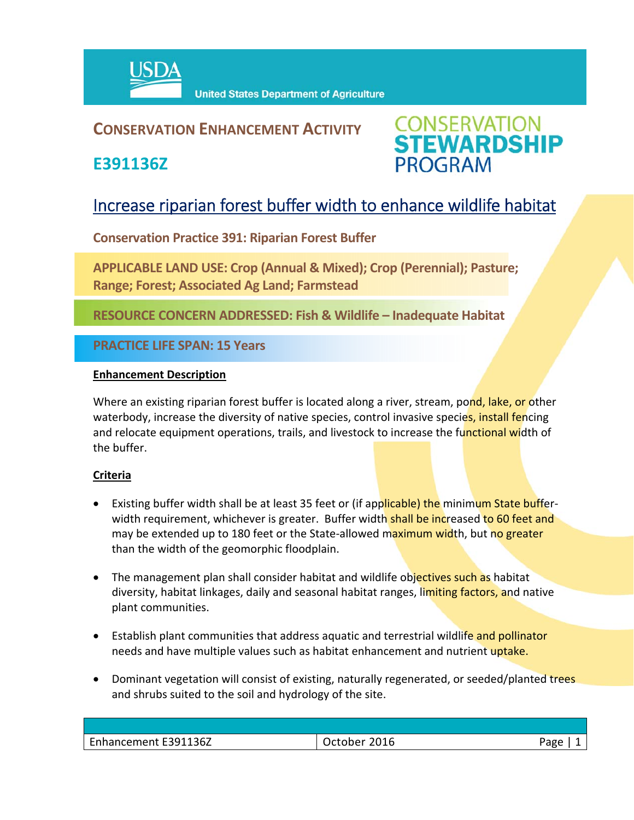

## **CONSERVATION ENHANCEMENT ACTIVITY**

**E391136Z**



# Increase riparian forest buffer width to enhance wildlife habitat

**Conservation Practice 391: Riparian Forest Buffer**

**APPLICABLE LAND USE: Crop (Annual & Mixed); Crop (Perennial); Pasture; Range; Forest; Associated Ag Land; Farmstead**

**RESOURCE CONCERN ADDRESSED: Fish & Wildlife – Inadequate Habitat**

**PRACTICE LIFE SPAN: 15 Years**

#### **Enhancement Description**

Where an existing riparian forest buffer is located along a river, stream, pond, lake, or other waterbody, increase the diversity of native species, control invasive species, install fencing and relocate equipment operations, trails, and livestock to increase the functional width of the buffer.

### **Criteria**

- Existing buffer width shall be at least 35 feet or (if applicable) the minimum State bufferwidth requirement, whichever is greater. Buffer width shall be increased to 60 feet and may be extended up to 180 feet or the State-allowed maximum width, but no greater than the width of the geomorphic floodplain.
- The management plan shall consider habitat and wildlife objectives such as habitat diversity, habitat linkages, daily and seasonal habitat ranges, limiting factors, and native plant communities.
- **E**stablish plant communities that address aquatic and terrestrial wildlife and pollinator needs and have multiple values such as habitat enhancement and nutrient uptake.
- Dominant vegetation will consist of existing, naturally regenerated, or seeded/planted trees and shrubs suited to the soil and hydrology of the site.

| Enhancement E391136Z | 2016<br>∵uuuer | Page |
|----------------------|----------------|------|